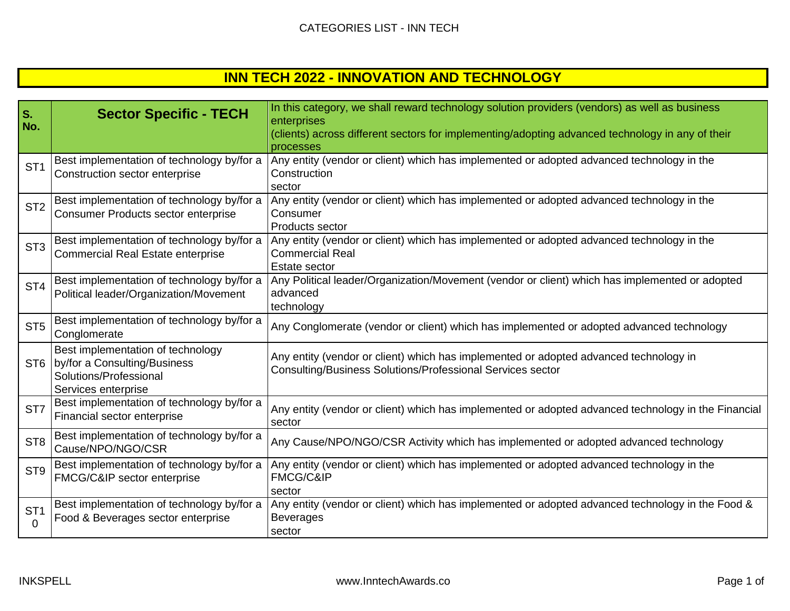|  | <b>INN TECH 2022 - INNOVATION AND TECHNOLOGY</b> |
|--|--------------------------------------------------|
|--|--------------------------------------------------|

| S.<br>No.                   | <b>Sector Specific - TECH</b>                                                                                          | In this category, we shall reward technology solution providers (vendors) as well as business<br>enterprises<br>(clients) across different sectors for implementing/adopting advanced technology in any of their<br>processes |
|-----------------------------|------------------------------------------------------------------------------------------------------------------------|-------------------------------------------------------------------------------------------------------------------------------------------------------------------------------------------------------------------------------|
| ST <sub>1</sub>             | Best implementation of technology by/for a<br>Construction sector enterprise                                           | Any entity (vendor or client) which has implemented or adopted advanced technology in the<br>Construction<br>sector                                                                                                           |
| ST <sub>2</sub>             | Best implementation of technology by/for a<br><b>Consumer Products sector enterprise</b>                               | Any entity (vendor or client) which has implemented or adopted advanced technology in the<br>Consumer<br>Products sector                                                                                                      |
| ST <sub>3</sub>             | Best implementation of technology by/for a<br><b>Commercial Real Estate enterprise</b>                                 | Any entity (vendor or client) which has implemented or adopted advanced technology in the<br><b>Commercial Real</b><br><b>Estate sector</b>                                                                                   |
| ST <sub>4</sub>             | Best implementation of technology by/for a<br>Political leader/Organization/Movement                                   | Any Political leader/Organization/Movement (vendor or client) which has implemented or adopted<br>advanced<br>technology                                                                                                      |
| ST <sub>5</sub>             | Best implementation of technology by/for a<br>Conglomerate                                                             | Any Conglomerate (vendor or client) which has implemented or adopted advanced technology                                                                                                                                      |
|                             | Best implementation of technology<br>ST6 by/for a Consulting/Business<br>Solutions/Professional<br>Services enterprise | Any entity (vendor or client) which has implemented or adopted advanced technology in<br>Consulting/Business Solutions/Professional Services sector                                                                           |
| ST <sub>7</sub>             | Best implementation of technology by/for a<br>Financial sector enterprise                                              | Any entity (vendor or client) which has implemented or adopted advanced technology in the Financial<br>sector                                                                                                                 |
| ST <sub>8</sub>             | Best implementation of technology by/for a<br>Cause/NPO/NGO/CSR                                                        | Any Cause/NPO/NGO/CSR Activity which has implemented or adopted advanced technology                                                                                                                                           |
| ST <sub>9</sub>             | Best implementation of technology by/for a<br>FMCG/C&IP sector enterprise                                              | Any entity (vendor or client) which has implemented or adopted advanced technology in the<br><b>FMCG/C&amp;IP</b><br>sector                                                                                                   |
| ST <sub>1</sub><br>$\Omega$ | Best implementation of technology by/for a<br>Food & Beverages sector enterprise                                       | Any entity (vendor or client) which has implemented or adopted advanced technology in the Food &<br><b>Beverages</b><br>sector                                                                                                |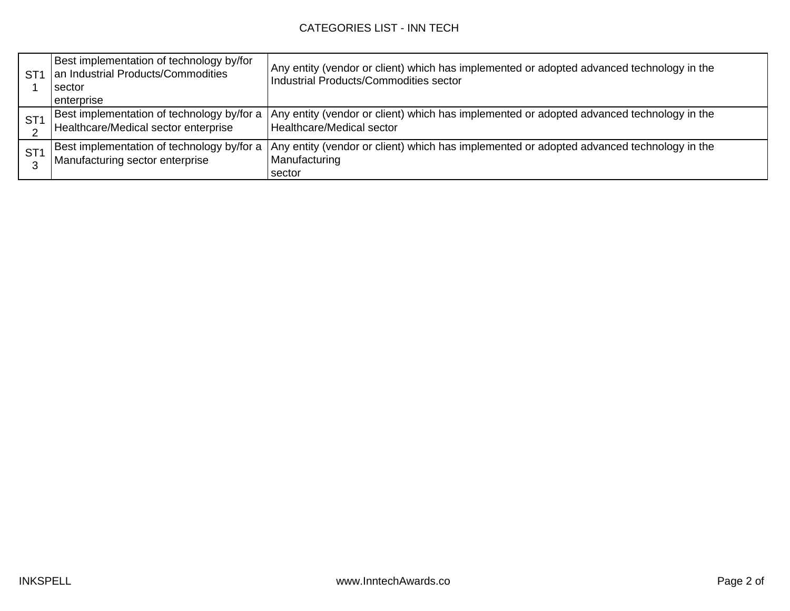| ST <sub>1</sub> | Best implementation of technology by/for<br>an Industrial Products/Commodities<br>sector<br>enterprise | Any entity (vendor or client) which has implemented or adopted advanced technology in the<br>Industrial Products/Commodities sector |
|-----------------|--------------------------------------------------------------------------------------------------------|-------------------------------------------------------------------------------------------------------------------------------------|
| ST <sub>1</sub> | Best implementation of technology by/for a<br>Healthcare/Medical sector enterprise                     | Any entity (vendor or client) which has implemented or adopted advanced technology in the<br>Healthcare/Medical sector              |
| ST <sub>1</sub> | Best implementation of technology by/for a<br>Manufacturing sector enterprise                          | Any entity (vendor or client) which has implemented or adopted advanced technology in the<br>Manufacturing<br>sector                |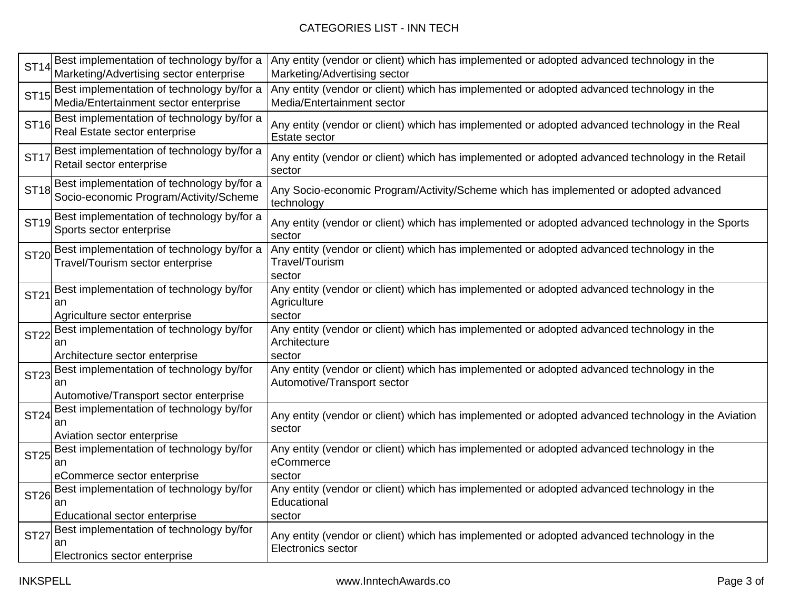| <b>ST14</b> | Best implementation of technology by/for a<br>Marketing/Advertising sector enterprise    | Any entity (vendor or client) which has implemented or adopted advanced technology in the<br>Marketing/Advertising sector |
|-------------|------------------------------------------------------------------------------------------|---------------------------------------------------------------------------------------------------------------------------|
| <b>ST15</b> | Best implementation of technology by/for a<br>Media/Entertainment sector enterprise      | Any entity (vendor or client) which has implemented or adopted advanced technology in the<br>Media/Entertainment sector   |
| <b>ST16</b> | Best implementation of technology by/for a<br>Real Estate sector enterprise              | Any entity (vendor or client) which has implemented or adopted advanced technology in the Real<br>Estate sector           |
| <b>ST17</b> | Best implementation of technology by/for a<br>Retail sector enterprise                   | Any entity (vendor or client) which has implemented or adopted advanced technology in the Retail<br>sector                |
| <b>ST18</b> | Best implementation of technology by/for a<br>Socio-economic Program/Activity/Scheme     | Any Socio-economic Program/Activity/Scheme which has implemented or adopted advanced<br>technology                        |
| <b>ST19</b> | Best implementation of technology by/for a<br>Sports sector enterprise                   | Any entity (vendor or client) which has implemented or adopted advanced technology in the Sports<br>sector                |
| <b>ST20</b> | Best implementation of technology by/for a<br>Travel/Tourism sector enterprise           | Any entity (vendor or client) which has implemented or adopted advanced technology in the<br>Travel/Tourism<br>sector     |
| <b>ST21</b> | Best implementation of technology by/for<br>an<br>Agriculture sector enterprise          | Any entity (vendor or client) which has implemented or adopted advanced technology in the<br>Agriculture<br>sector        |
| <b>ST22</b> | Best implementation of technology by/for<br>an<br>Architecture sector enterprise         | Any entity (vendor or client) which has implemented or adopted advanced technology in the<br>Architecture<br>sector       |
| <b>ST23</b> | Best implementation of technology by/for<br>an<br>Automotive/Transport sector enterprise | Any entity (vendor or client) which has implemented or adopted advanced technology in the<br>Automotive/Transport sector  |
| <b>ST24</b> | Best implementation of technology by/for<br>an<br>Aviation sector enterprise             | Any entity (vendor or client) which has implemented or adopted advanced technology in the Aviation<br>sector              |
| <b>ST25</b> | Best implementation of technology by/for<br>an<br>eCommerce sector enterprise            | Any entity (vendor or client) which has implemented or adopted advanced technology in the<br>eCommerce<br>sector          |
| <b>ST26</b> | Best implementation of technology by/for<br>an<br>Educational sector enterprise          | Any entity (vendor or client) which has implemented or adopted advanced technology in the<br>Educational<br>sector        |
| <b>ST27</b> | Best implementation of technology by/for<br>an<br>Electronics sector enterprise          | Any entity (vendor or client) which has implemented or adopted advanced technology in the<br><b>Electronics sector</b>    |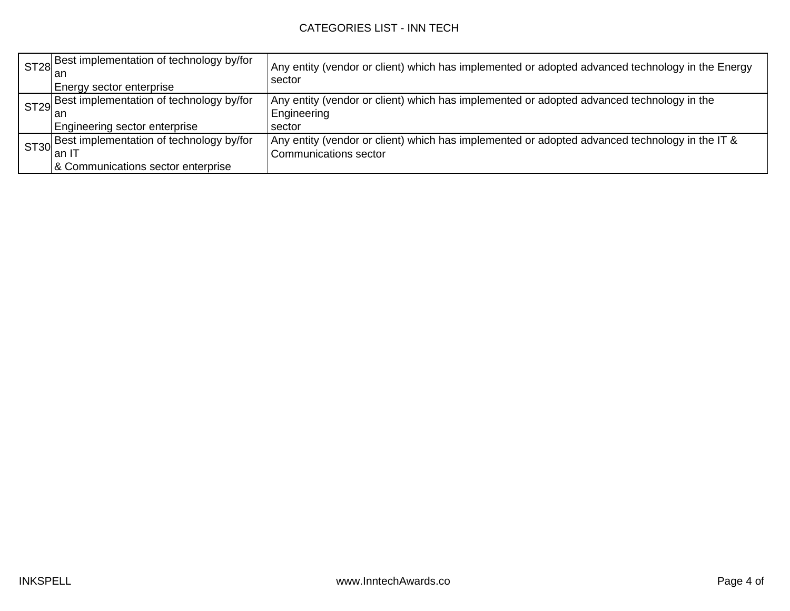| ST28 Best implementation of technology by/for<br>Energy sector enterprise                      | Any entity (vendor or client) which has implemented or adopted advanced technology in the Energy<br>sector              |
|------------------------------------------------------------------------------------------------|-------------------------------------------------------------------------------------------------------------------------|
| ST29 Best implementation of technology by/for<br>∎an<br>Engineering sector enterprise          | Any entity (vendor or client) which has implemented or adopted advanced technology in the<br>Engineering<br>sector      |
| ST30 Best implementation of technology by/for<br>l an IT<br>& Communications sector enterprise | Any entity (vendor or client) which has implemented or adopted advanced technology in the IT &<br>Communications sector |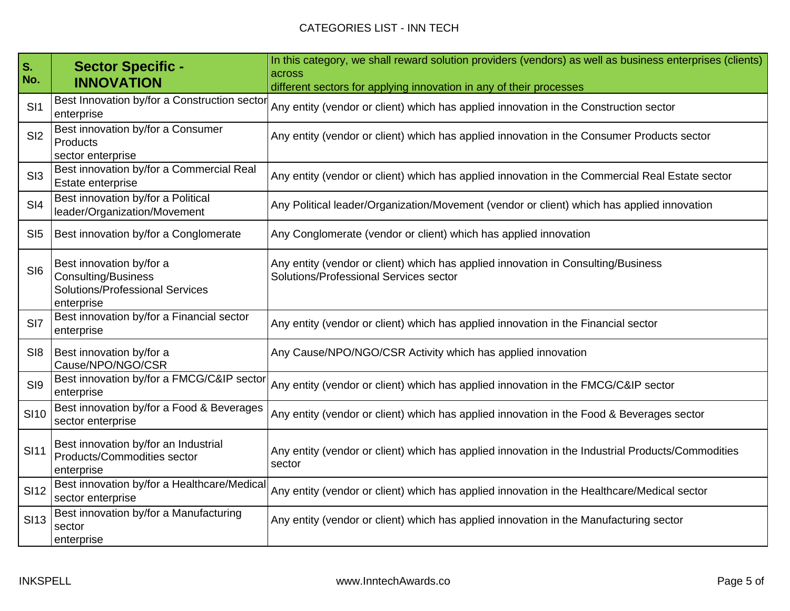| S.<br>No.       | <b>Sector Specific -</b><br><b>INNOVATION</b>                                                                  | In this category, we shall reward solution providers (vendors) as well as business enterprises (clients)<br>across<br>different sectors for applying innovation in any of their processes |
|-----------------|----------------------------------------------------------------------------------------------------------------|-------------------------------------------------------------------------------------------------------------------------------------------------------------------------------------------|
| SI1             | Best Innovation by/for a Construction sector<br>enterprise                                                     | Any entity (vendor or client) which has applied innovation in the Construction sector                                                                                                     |
| SI <sub>2</sub> | Best innovation by/for a Consumer<br>Products<br>sector enterprise                                             | Any entity (vendor or client) which has applied innovation in the Consumer Products sector                                                                                                |
| S <sub>13</sub> | Best innovation by/for a Commercial Real<br>Estate enterprise                                                  | Any entity (vendor or client) which has applied innovation in the Commercial Real Estate sector                                                                                           |
| SI4             | Best innovation by/for a Political<br>leader/Organization/Movement                                             | Any Political leader/Organization/Movement (vendor or client) which has applied innovation                                                                                                |
| SI5             | Best innovation by/for a Conglomerate                                                                          | Any Conglomerate (vendor or client) which has applied innovation                                                                                                                          |
| SI <sub>6</sub> | Best innovation by/for a<br><b>Consulting/Business</b><br><b>Solutions/Professional Services</b><br>enterprise | Any entity (vendor or client) which has applied innovation in Consulting/Business<br>Solutions/Professional Services sector                                                               |
| SI <sub>7</sub> | Best innovation by/for a Financial sector<br>enterprise                                                        | Any entity (vendor or client) which has applied innovation in the Financial sector                                                                                                        |
| SI <sub>8</sub> | Best innovation by/for a<br>Cause/NPO/NGO/CSR                                                                  | Any Cause/NPO/NGO/CSR Activity which has applied innovation                                                                                                                               |
| SI9             | Best innovation by/for a FMCG/C&IP sector<br>enterprise                                                        | Any entity (vendor or client) which has applied innovation in the FMCG/C&IP sector                                                                                                        |
| <b>SI10</b>     | Best innovation by/for a Food & Beverages<br>sector enterprise                                                 | Any entity (vendor or client) which has applied innovation in the Food & Beverages sector                                                                                                 |
| <b>SI11</b>     | Best innovation by/for an Industrial<br>Products/Commodities sector<br>enterprise                              | Any entity (vendor or client) which has applied innovation in the Industrial Products/Commodities<br>sector                                                                               |
| <b>SI12</b>     | Best innovation by/for a Healthcare/Medica<br>sector enterprise                                                | Any entity (vendor or client) which has applied innovation in the Healthcare/Medical sector                                                                                               |
| <b>SI13</b>     | Best innovation by/for a Manufacturing<br>sector<br>enterprise                                                 | Any entity (vendor or client) which has applied innovation in the Manufacturing sector                                                                                                    |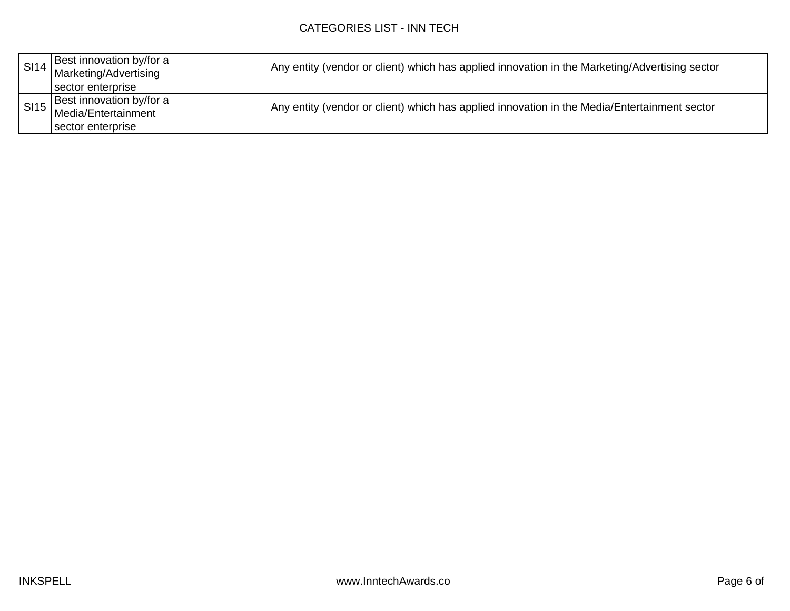| <b>SI14</b> | Best innovation by/for a<br>Marketing/Advertising<br>sector enterprise    | Any entity (vendor or client) which has applied innovation in the Marketing/Advertising sector |
|-------------|---------------------------------------------------------------------------|------------------------------------------------------------------------------------------------|
|             | Best innovation by/for a<br>SI15 Media/Entertainment<br>sector enterprise | Any entity (vendor or client) which has applied innovation in the Media/Entertainment sector   |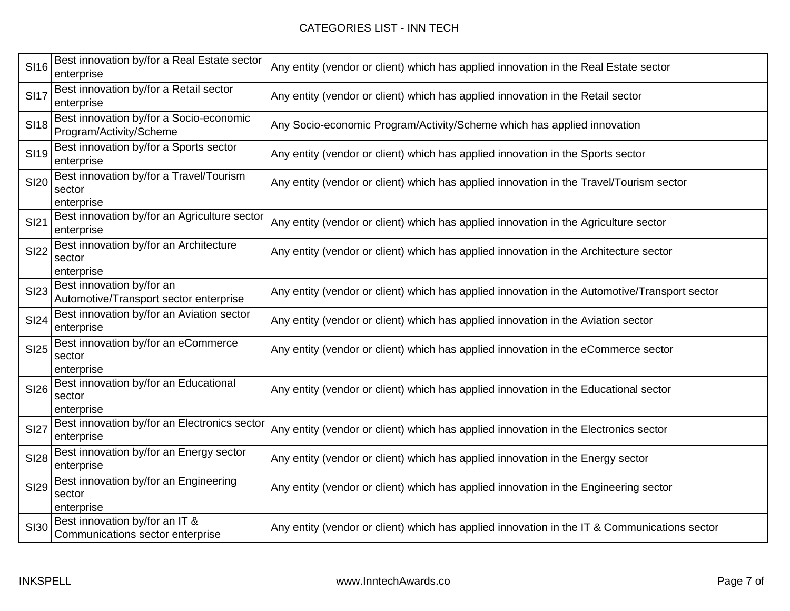## CATEGORIES LIST - INN TECH

| <b>SI16</b> | Best innovation by/for a Real Estate sector<br>enterprise           | Any entity (vendor or client) which has applied innovation in the Real Estate sector          |
|-------------|---------------------------------------------------------------------|-----------------------------------------------------------------------------------------------|
| <b>SI17</b> | Best innovation by/for a Retail sector<br>enterprise                | Any entity (vendor or client) which has applied innovation in the Retail sector               |
| <b>SI18</b> | Best innovation by/for a Socio-economic<br>Program/Activity/Scheme  | Any Socio-economic Program/Activity/Scheme which has applied innovation                       |
| <b>SI19</b> | Best innovation by/for a Sports sector<br>enterprise                | Any entity (vendor or client) which has applied innovation in the Sports sector               |
| <b>SI20</b> | Best innovation by/for a Travel/Tourism<br>sector<br>enterprise     | Any entity (vendor or client) which has applied innovation in the Travel/Tourism sector       |
| <b>SI21</b> | Best innovation by/for an Agriculture sector<br>enterprise          | Any entity (vendor or client) which has applied innovation in the Agriculture sector          |
| <b>SI22</b> | Best innovation by/for an Architecture<br>sector<br>enterprise      | Any entity (vendor or client) which has applied innovation in the Architecture sector         |
| <b>SI23</b> | Best innovation by/for an<br>Automotive/Transport sector enterprise | Any entity (vendor or client) which has applied innovation in the Automotive/Transport sector |
| <b>SI24</b> | Best innovation by/for an Aviation sector<br>enterprise             | Any entity (vendor or client) which has applied innovation in the Aviation sector             |
| <b>SI25</b> | Best innovation by/for an eCommerce<br>sector<br>enterprise         | Any entity (vendor or client) which has applied innovation in the eCommerce sector            |
| <b>SI26</b> | Best innovation by/for an Educational<br>sector<br>enterprise       | Any entity (vendor or client) which has applied innovation in the Educational sector          |
| <b>SI27</b> | Best innovation by/for an Electronics sector<br>enterprise          | Any entity (vendor or client) which has applied innovation in the Electronics sector          |
| <b>SI28</b> | Best innovation by/for an Energy sector<br>enterprise               | Any entity (vendor or client) which has applied innovation in the Energy sector               |
| <b>SI29</b> | Best innovation by/for an Engineering<br>sector<br>enterprise       | Any entity (vendor or client) which has applied innovation in the Engineering sector          |
| <b>SI30</b> | Best innovation by/for an IT &<br>Communications sector enterprise  | Any entity (vendor or client) which has applied innovation in the IT & Communications sector  |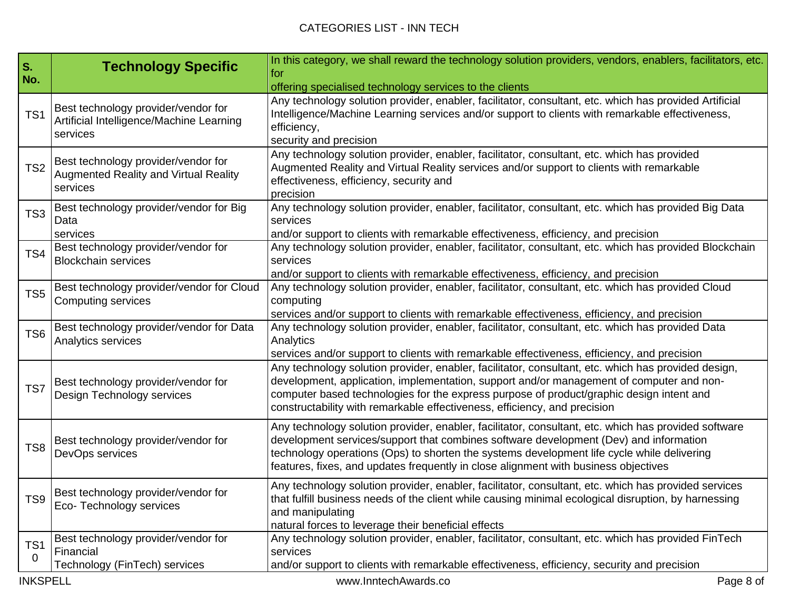| S.<br>No.            | <b>Technology Specific</b>                                                                      | In this category, we shall reward the technology solution providers, vendors, enablers, facilitators, etc.<br>for<br>offering specialised technology services to the clients                                                                                                                                                                                                       |
|----------------------|-------------------------------------------------------------------------------------------------|------------------------------------------------------------------------------------------------------------------------------------------------------------------------------------------------------------------------------------------------------------------------------------------------------------------------------------------------------------------------------------|
| TS <sub>1</sub>      | Best technology provider/vendor for<br>Artificial Intelligence/Machine Learning<br>services     | Any technology solution provider, enabler, facilitator, consultant, etc. which has provided Artificial<br>Intelligence/Machine Learning services and/or support to clients with remarkable effectiveness,<br>efficiency,<br>security and precision                                                                                                                                 |
| TS <sub>2</sub>      | Best technology provider/vendor for<br><b>Augmented Reality and Virtual Reality</b><br>services | Any technology solution provider, enabler, facilitator, consultant, etc. which has provided<br>Augmented Reality and Virtual Reality services and/or support to clients with remarkable<br>effectiveness, efficiency, security and<br>precision                                                                                                                                    |
| TS <sub>3</sub>      | Best technology provider/vendor for Big<br>Data<br>services                                     | Any technology solution provider, enabler, facilitator, consultant, etc. which has provided Big Data<br>services<br>and/or support to clients with remarkable effectiveness, efficiency, and precision                                                                                                                                                                             |
| TS4                  | Best technology provider/vendor for<br><b>Blockchain services</b>                               | Any technology solution provider, enabler, facilitator, consultant, etc. which has provided Blockchain<br>services<br>and/or support to clients with remarkable effectiveness, efficiency, and precision                                                                                                                                                                           |
| TS <sub>5</sub>      | Best technology provider/vendor for Cloud<br><b>Computing services</b>                          | Any technology solution provider, enabler, facilitator, consultant, etc. which has provided Cloud<br>computing<br>services and/or support to clients with remarkable effectiveness, efficiency, and precision                                                                                                                                                                      |
| TS <sub>6</sub>      | Best technology provider/vendor for Data<br>Analytics services                                  | Any technology solution provider, enabler, facilitator, consultant, etc. which has provided Data<br>Analytics<br>services and/or support to clients with remarkable effectiveness, efficiency, and precision                                                                                                                                                                       |
| TS7                  | Best technology provider/vendor for<br>Design Technology services                               | Any technology solution provider, enabler, facilitator, consultant, etc. which has provided design,<br>development, application, implementation, support and/or management of computer and non-<br>computer based technologies for the express purpose of product/graphic design intent and<br>constructability with remarkable effectiveness, efficiency, and precision           |
| TS8                  | Best technology provider/vendor for<br>DevOps services                                          | Any technology solution provider, enabler, facilitator, consultant, etc. which has provided software<br>development services/support that combines software development (Dev) and information<br>technology operations (Ops) to shorten the systems development life cycle while delivering<br>features, fixes, and updates frequently in close alignment with business objectives |
| TS <sub>9</sub>      | Best technology provider/vendor for<br>Eco-Technology services                                  | Any technology solution provider, enabler, facilitator, consultant, etc. which has provided services<br>that fulfill business needs of the client while causing minimal ecological disruption, by harnessing<br>and manipulating<br>natural forces to leverage their beneficial effects                                                                                            |
| TS <sub>1</sub><br>0 | Best technology provider/vendor for<br>Financial<br>Technology (FinTech) services               | Any technology solution provider, enabler, facilitator, consultant, etc. which has provided FinTech<br>services<br>and/or support to clients with remarkable effectiveness, efficiency, security and precision                                                                                                                                                                     |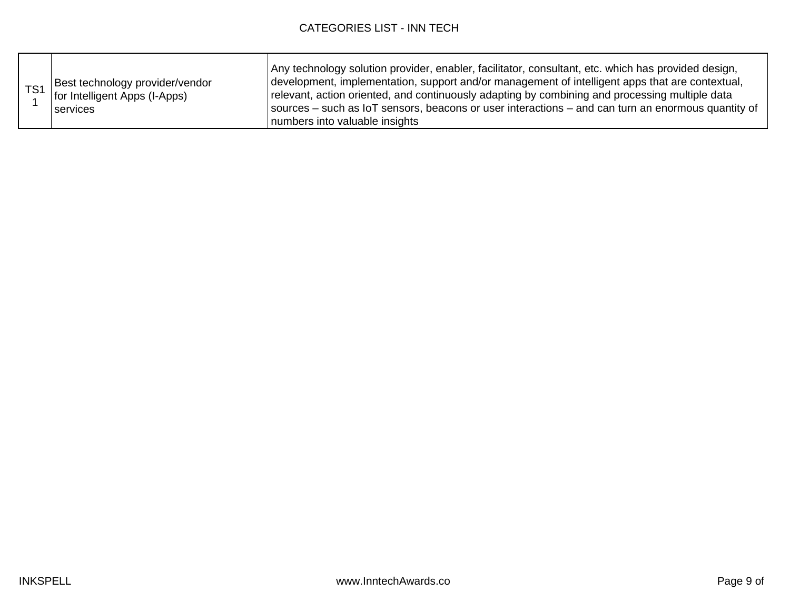| TS <sub>1</sub> | Best technology provider/vendor<br>for Intelligent Apps (I-Apps)<br>services | Any technology solution provider, enabler, facilitator, consultant, etc. which has provided design,<br>development, implementation, support and/or management of intelligent apps that are contextual,<br>relevant, action oriented, and continuously adapting by combining and processing multiple data<br>sources – such as IoT sensors, beacons or user interactions – and can turn an enormous quantity of<br>numbers into valuable insights |
|-----------------|------------------------------------------------------------------------------|--------------------------------------------------------------------------------------------------------------------------------------------------------------------------------------------------------------------------------------------------------------------------------------------------------------------------------------------------------------------------------------------------------------------------------------------------|
|-----------------|------------------------------------------------------------------------------|--------------------------------------------------------------------------------------------------------------------------------------------------------------------------------------------------------------------------------------------------------------------------------------------------------------------------------------------------------------------------------------------------------------------------------------------------|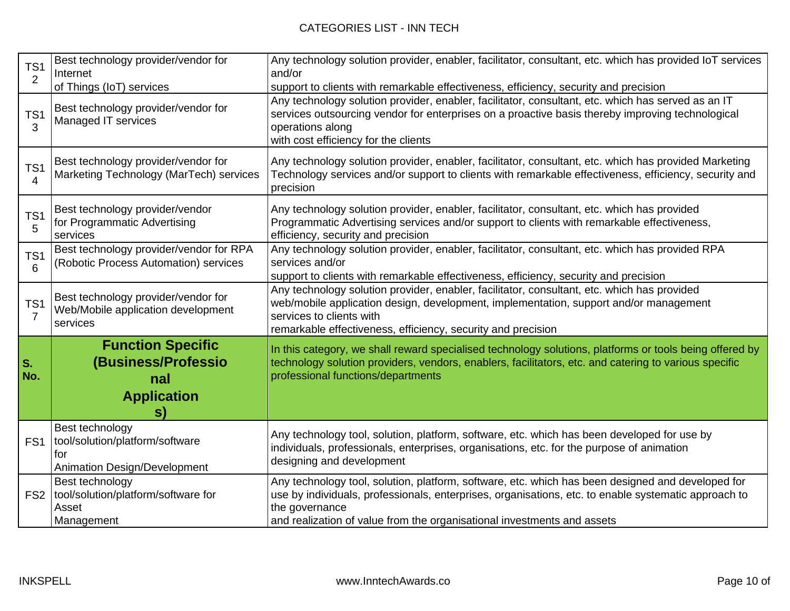| TS <sub>1</sub><br>2              | Best technology provider/vendor for<br>Internet<br>of Things (IoT) services               | Any technology solution provider, enabler, facilitator, consultant, etc. which has provided IoT services<br>and/or<br>support to clients with remarkable effectiveness, efficiency, security and precision                                                                                             |
|-----------------------------------|-------------------------------------------------------------------------------------------|--------------------------------------------------------------------------------------------------------------------------------------------------------------------------------------------------------------------------------------------------------------------------------------------------------|
| TS <sub>1</sub><br>3              | Best technology provider/vendor for<br>Managed IT services                                | Any technology solution provider, enabler, facilitator, consultant, etc. which has served as an IT<br>services outsourcing vendor for enterprises on a proactive basis thereby improving technological<br>operations along<br>with cost efficiency for the clients                                     |
| TS <sub>1</sub><br>4              | Best technology provider/vendor for<br>Marketing Technology (MarTech) services            | Any technology solution provider, enabler, facilitator, consultant, etc. which has provided Marketing<br>Technology services and/or support to clients with remarkable effectiveness, efficiency, security and<br>precision                                                                            |
| TS <sub>1</sub><br>5              | Best technology provider/vendor<br>for Programmatic Advertising<br>services               | Any technology solution provider, enabler, facilitator, consultant, etc. which has provided<br>Programmatic Advertising services and/or support to clients with remarkable effectiveness,<br>efficiency, security and precision                                                                        |
| TS <sub>1</sub><br>6              | Best technology provider/vendor for RPA<br>(Robotic Process Automation) services          | Any technology solution provider, enabler, facilitator, consultant, etc. which has provided RPA<br>services and/or<br>support to clients with remarkable effectiveness, efficiency, security and precision                                                                                             |
| TS <sub>1</sub><br>$\overline{7}$ | Best technology provider/vendor for<br>Web/Mobile application development<br>services     | Any technology solution provider, enabler, facilitator, consultant, etc. which has provided<br>web/mobile application design, development, implementation, support and/or management<br>services to clients with<br>remarkable effectiveness, efficiency, security and precision                       |
| S.<br>No.                         | <b>Function Specific</b><br>(Business/Professio<br>nal<br><b>Application</b><br>S)        | In this category, we shall reward specialised technology solutions, platforms or tools being offered by<br>technology solution providers, vendors, enablers, facilitators, etc. and catering to various specific<br>professional functions/departments                                                 |
| FS <sub>1</sub>                   | Best technology<br>tool/solution/platform/software<br>for<br>Animation Design/Development | Any technology tool, solution, platform, software, etc. which has been developed for use by<br>individuals, professionals, enterprises, organisations, etc. for the purpose of animation<br>designing and development                                                                                  |
|                                   | Best technology<br>FS2   tool/solution/platform/software for<br>Asset<br>Management       | Any technology tool, solution, platform, software, etc. which has been designed and developed for<br>use by individuals, professionals, enterprises, organisations, etc. to enable systematic approach to<br>the governance<br>and realization of value from the organisational investments and assets |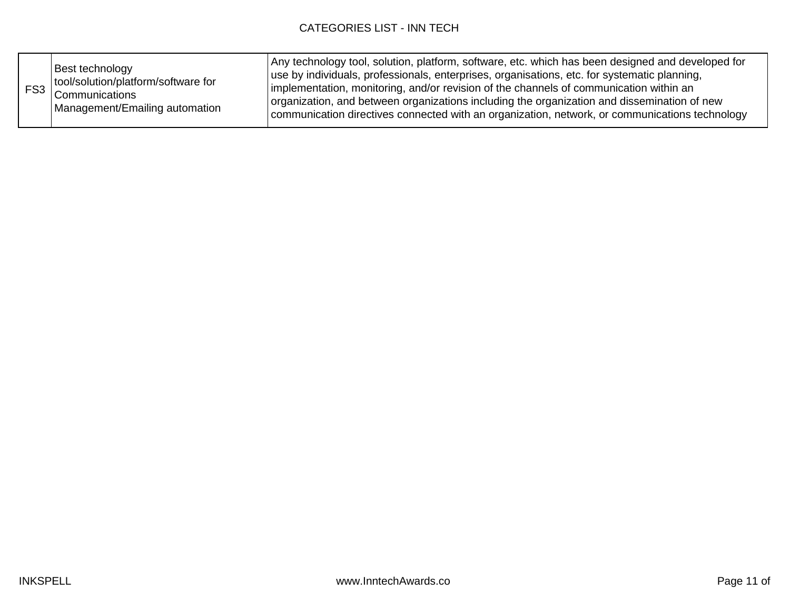|  | Best technology<br>tool/solution/platform/software for<br>FS3 Communications<br>Management/Emailing automation | Any technology tool, solution, platform, software, etc. which has been designed and developed for<br>use by individuals, professionals, enterprises, organisations, etc. for systematic planning,<br>implementation, monitoring, and/or revision of the channels of communication within an<br>organization, and between organizations including the organization and dissemination of new<br>communication directives connected with an organization, network, or communications technology |
|--|----------------------------------------------------------------------------------------------------------------|----------------------------------------------------------------------------------------------------------------------------------------------------------------------------------------------------------------------------------------------------------------------------------------------------------------------------------------------------------------------------------------------------------------------------------------------------------------------------------------------|
|--|----------------------------------------------------------------------------------------------------------------|----------------------------------------------------------------------------------------------------------------------------------------------------------------------------------------------------------------------------------------------------------------------------------------------------------------------------------------------------------------------------------------------------------------------------------------------------------------------------------------------|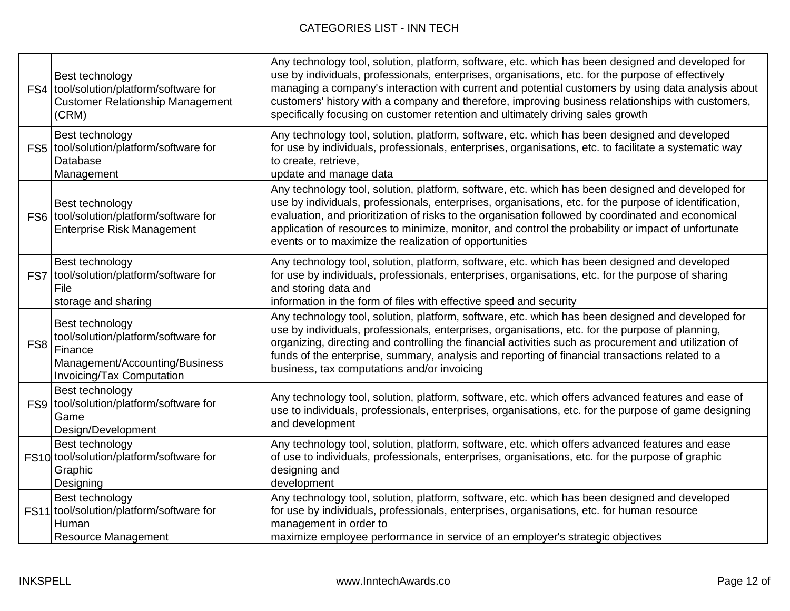|     | Best technology<br>FS4 tool/solution/platform/software for<br><b>Customer Relationship Management</b><br>(CRM)                   | Any technology tool, solution, platform, software, etc. which has been designed and developed for<br>use by individuals, professionals, enterprises, organisations, etc. for the purpose of effectively<br>managing a company's interaction with current and potential customers by using data analysis about<br>customers' history with a company and therefore, improving business relationships with customers,<br>specifically focusing on customer retention and ultimately driving sales growth |
|-----|----------------------------------------------------------------------------------------------------------------------------------|-------------------------------------------------------------------------------------------------------------------------------------------------------------------------------------------------------------------------------------------------------------------------------------------------------------------------------------------------------------------------------------------------------------------------------------------------------------------------------------------------------|
|     | Best technology<br>FS5 tool/solution/platform/software for<br>Database<br>Management                                             | Any technology tool, solution, platform, software, etc. which has been designed and developed<br>for use by individuals, professionals, enterprises, organisations, etc. to facilitate a systematic way<br>to create, retrieve,<br>update and manage data                                                                                                                                                                                                                                             |
|     | Best technology<br>FS6 tool/solution/platform/software for<br><b>Enterprise Risk Management</b>                                  | Any technology tool, solution, platform, software, etc. which has been designed and developed for<br>use by individuals, professionals, enterprises, organisations, etc. for the purpose of identification,<br>evaluation, and prioritization of risks to the organisation followed by coordinated and economical<br>application of resources to minimize, monitor, and control the probability or impact of unfortunate<br>events or to maximize the realization of opportunities                    |
|     | Best technology<br>FS7 tool/solution/platform/software for<br>File<br>storage and sharing                                        | Any technology tool, solution, platform, software, etc. which has been designed and developed<br>for use by individuals, professionals, enterprises, organisations, etc. for the purpose of sharing<br>and storing data and<br>information in the form of files with effective speed and security                                                                                                                                                                                                     |
| FS8 | Best technology<br>tool/solution/platform/software for<br>Finance<br>Management/Accounting/Business<br>Invoicing/Tax Computation | Any technology tool, solution, platform, software, etc. which has been designed and developed for<br>use by individuals, professionals, enterprises, organisations, etc. for the purpose of planning,<br>organizing, directing and controlling the financial activities such as procurement and utilization of<br>funds of the enterprise, summary, analysis and reporting of financial transactions related to a<br>business, tax computations and/or invoicing                                      |
|     | Best technology<br>FS9 tool/solution/platform/software for<br>Game<br>Design/Development                                         | Any technology tool, solution, platform, software, etc. which offers advanced features and ease of<br>use to individuals, professionals, enterprises, organisations, etc. for the purpose of game designing<br>and development                                                                                                                                                                                                                                                                        |
|     | Best technology<br>FS10 tool/solution/platform/software for<br>Graphic<br>Designing                                              | Any technology tool, solution, platform, software, etc. which offers advanced features and ease<br>of use to individuals, professionals, enterprises, organisations, etc. for the purpose of graphic<br>designing and<br>development                                                                                                                                                                                                                                                                  |
|     | Best technology<br>FS11 tool/solution/platform/software for<br>Human<br><b>Resource Management</b>                               | Any technology tool, solution, platform, software, etc. which has been designed and developed<br>for use by individuals, professionals, enterprises, organisations, etc. for human resource<br>management in order to<br>maximize employee performance in service of an employer's strategic objectives                                                                                                                                                                                               |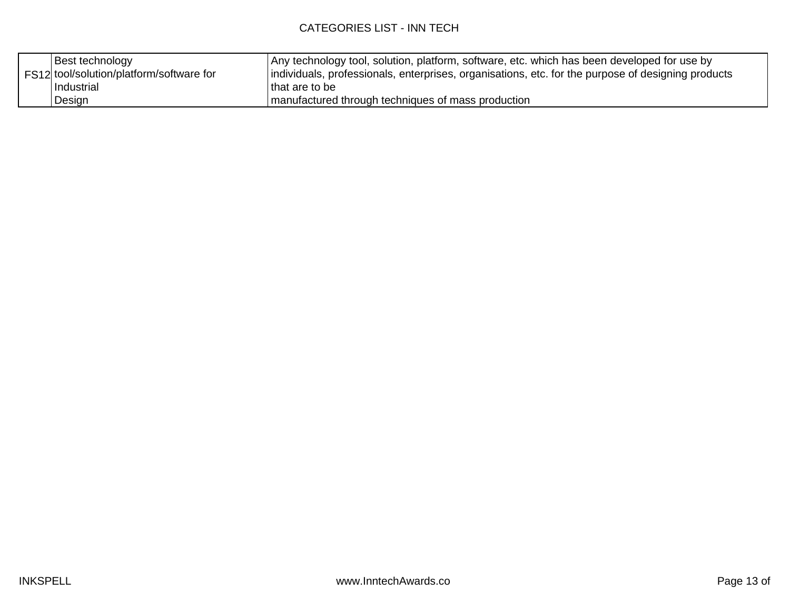| Best technology                          | Any technology tool, solution, platform, software, etc. which has been developed for use by        |
|------------------------------------------|----------------------------------------------------------------------------------------------------|
| FS12 tool/solution/platform/software for | Individuals, professionals, enterprises, organisations, etc. for the purpose of designing products |
| Industrial                               | I that are to be                                                                                   |
| Design                                   | manufactured through techniques of mass production                                                 |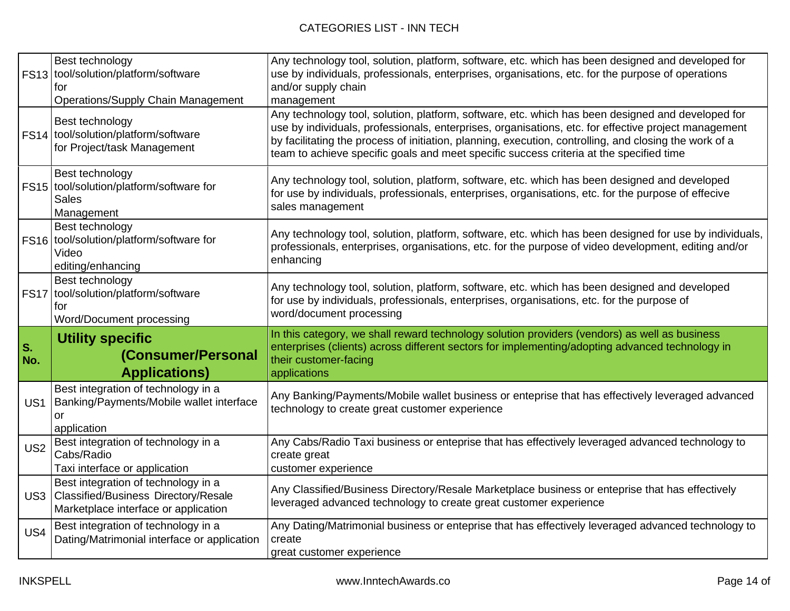|                 | Best technology<br>FS13 tool/solution/platform/software<br>for<br><b>Operations/Supply Chain Management</b>                | Any technology tool, solution, platform, software, etc. which has been designed and developed for<br>use by individuals, professionals, enterprises, organisations, etc. for the purpose of operations<br>and/or supply chain<br>management                                                                                                                                                                    |
|-----------------|----------------------------------------------------------------------------------------------------------------------------|----------------------------------------------------------------------------------------------------------------------------------------------------------------------------------------------------------------------------------------------------------------------------------------------------------------------------------------------------------------------------------------------------------------|
|                 | Best technology<br>FS14 tool/solution/platform/software<br>for Project/task Management                                     | Any technology tool, solution, platform, software, etc. which has been designed and developed for<br>use by individuals, professionals, enterprises, organisations, etc. for effective project management<br>by facilitating the process of initiation, planning, execution, controlling, and closing the work of a<br>team to achieve specific goals and meet specific success criteria at the specified time |
|                 | Best technology<br>FS15 tool/solution/platform/software for<br><b>Sales</b><br>Management                                  | Any technology tool, solution, platform, software, etc. which has been designed and developed<br>for use by individuals, professionals, enterprises, organisations, etc. for the purpose of effecive<br>sales management                                                                                                                                                                                       |
|                 | Best technology<br>FS16 tool/solution/platform/software for<br>Video<br>editing/enhancing                                  | Any technology tool, solution, platform, software, etc. which has been designed for use by individuals,<br>professionals, enterprises, organisations, etc. for the purpose of video development, editing and/or<br>enhancing                                                                                                                                                                                   |
|                 | Best technology<br>FS17 tool/solution/platform/software<br>for<br>Word/Document processing                                 | Any technology tool, solution, platform, software, etc. which has been designed and developed<br>for use by individuals, professionals, enterprises, organisations, etc. for the purpose of<br>word/document processing                                                                                                                                                                                        |
| s.<br>No.       | <b>Utility specific</b><br>(Consumer/Personal<br><b>Applications)</b>                                                      | In this category, we shall reward technology solution providers (vendors) as well as business<br>enterprises (clients) across different sectors for implementing/adopting advanced technology in<br>their customer-facing<br>applications                                                                                                                                                                      |
| US1             | Best integration of technology in a<br>Banking/Payments/Mobile wallet interface<br>or<br>application                       | Any Banking/Payments/Mobile wallet business or enteprise that has effectively leveraged advanced<br>technology to create great customer experience                                                                                                                                                                                                                                                             |
| US <sub>2</sub> |                                                                                                                            |                                                                                                                                                                                                                                                                                                                                                                                                                |
|                 | Best integration of technology in a<br>Cabs/Radio<br>Taxi interface or application                                         | Any Cabs/Radio Taxi business or enteprise that has effectively leveraged advanced technology to<br>create great<br>customer experience                                                                                                                                                                                                                                                                         |
| US <sub>3</sub> | Best integration of technology in a<br><b>Classified/Business Directory/Resale</b><br>Marketplace interface or application | Any Classified/Business Directory/Resale Marketplace business or enteprise that has effectively<br>leveraged advanced technology to create great customer experience                                                                                                                                                                                                                                           |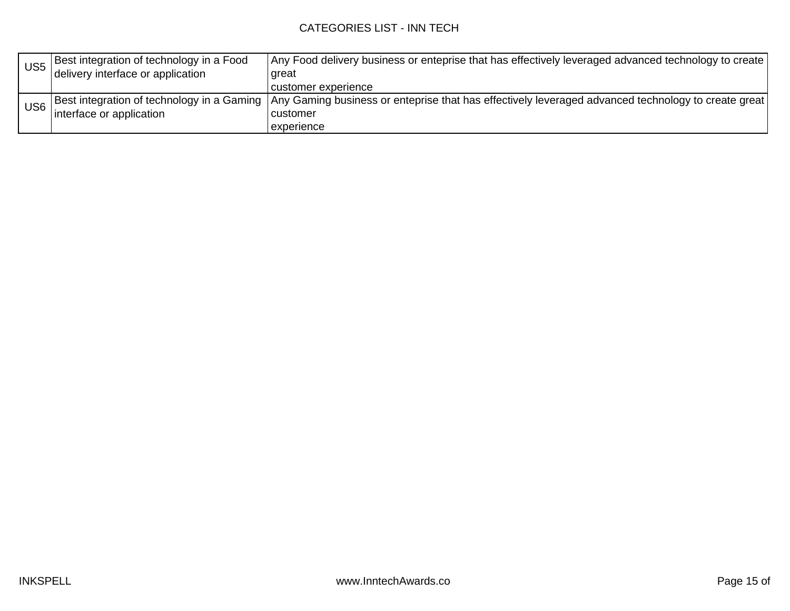| US <sub>5</sub> | Best integration of technology in a Food | Any Food delivery business or enteprise that has effectively leveraged advanced technology to create                                             |
|-----------------|------------------------------------------|--------------------------------------------------------------------------------------------------------------------------------------------------|
|                 | delivery interface or application        | great                                                                                                                                            |
|                 |                                          | l customer experience                                                                                                                            |
| US <sub>6</sub> |                                          | Best integration of technology in a Gaming   Any Gaming business or enteprise that has effectively leveraged advanced technology to create great |
|                 | interface or application                 | l customer                                                                                                                                       |
|                 |                                          | experience                                                                                                                                       |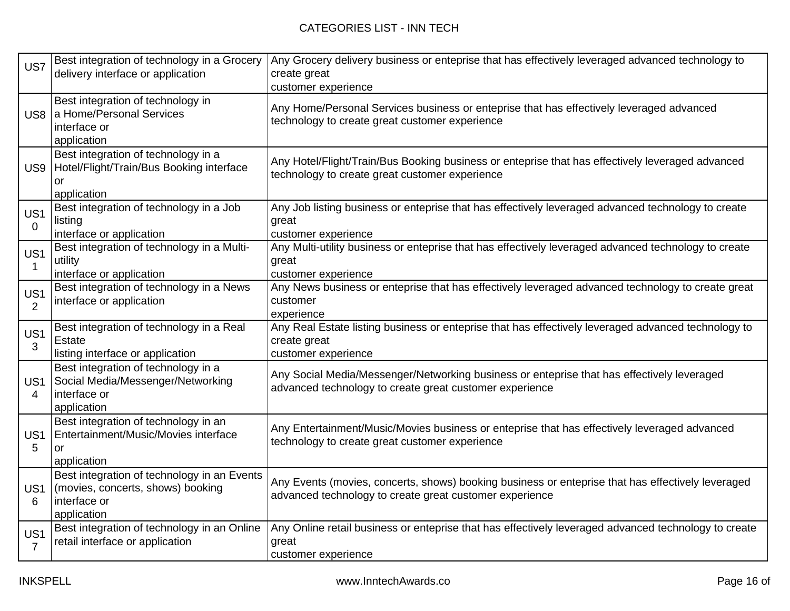| US7                  | Best integration of technology in a Grocery<br>delivery interface or application                                | Any Grocery delivery business or enteprise that has effectively leveraged advanced technology to<br>create great<br>customer experience                      |
|----------------------|-----------------------------------------------------------------------------------------------------------------|--------------------------------------------------------------------------------------------------------------------------------------------------------------|
| US <sub>8</sub>      | Best integration of technology in<br>a Home/Personal Services<br>interface or<br>application                    | Any Home/Personal Services business or enteprise that has effectively leveraged advanced<br>technology to create great customer experience                   |
| US <sub>9</sub>      | Best integration of technology in a<br>Hotel/Flight/Train/Bus Booking interface<br>or<br>application            | Any Hotel/Flight/Train/Bus Booking business or enteprise that has effectively leveraged advanced<br>technology to create great customer experience           |
| US1<br>0             | Best integration of technology in a Job<br>listing<br>interface or application                                  | Any Job listing business or enteprise that has effectively leveraged advanced technology to create<br>great<br>customer experience                           |
| US1                  | Best integration of technology in a Multi-<br>utility<br>interface or application                               | Any Multi-utility business or enteprise that has effectively leveraged advanced technology to create<br>great<br>customer experience                         |
| US1<br>2             | Best integration of technology in a News<br>interface or application                                            | Any News business or enteprise that has effectively leveraged advanced technology to create great<br>customer<br>experience                                  |
| US1<br>3             | Best integration of technology in a Real<br>Estate<br>listing interface or application                          | Any Real Estate listing business or enteprise that has effectively leveraged advanced technology to<br>create great<br>customer experience                   |
| US <sub>1</sub><br>4 | Best integration of technology in a<br>Social Media/Messenger/Networking<br>interface or<br>application         | Any Social Media/Messenger/Networking business or enteprise that has effectively leveraged<br>advanced technology to create great customer experience        |
| US <sub>1</sub><br>5 | Best integration of technology in an<br>Entertainment/Music/Movies interface<br><b>or</b><br>application        | Any Entertainment/Music/Movies business or enteprise that has effectively leveraged advanced<br>technology to create great customer experience               |
| US <sub>1</sub><br>6 | Best integration of technology in an Events<br>(movies, concerts, shows) booking<br>interface or<br>application | Any Events (movies, concerts, shows) booking business or enteprise that has effectively leveraged<br>advanced technology to create great customer experience |
| US1<br>7             | Best integration of technology in an Online<br>retail interface or application                                  | Any Online retail business or enteprise that has effectively leveraged advanced technology to create<br>great<br>customer experience                         |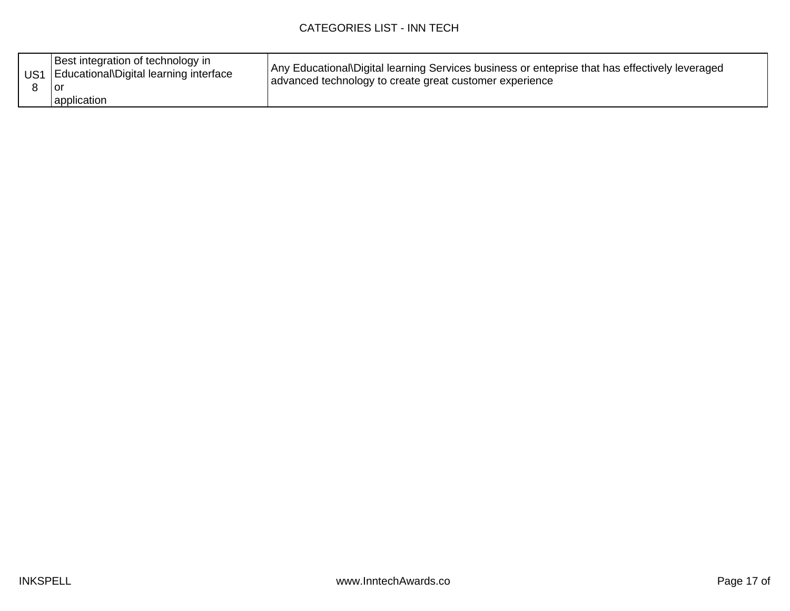| Best integration of technology in<br>US1   Educational\Digital learning interface<br>Tor<br>application | Any Educational\Digital learning Services business or enteprise that has effectively leveraged<br>advanced technology to create great customer experience |
|---------------------------------------------------------------------------------------------------------|-----------------------------------------------------------------------------------------------------------------------------------------------------------|
|---------------------------------------------------------------------------------------------------------|-----------------------------------------------------------------------------------------------------------------------------------------------------------|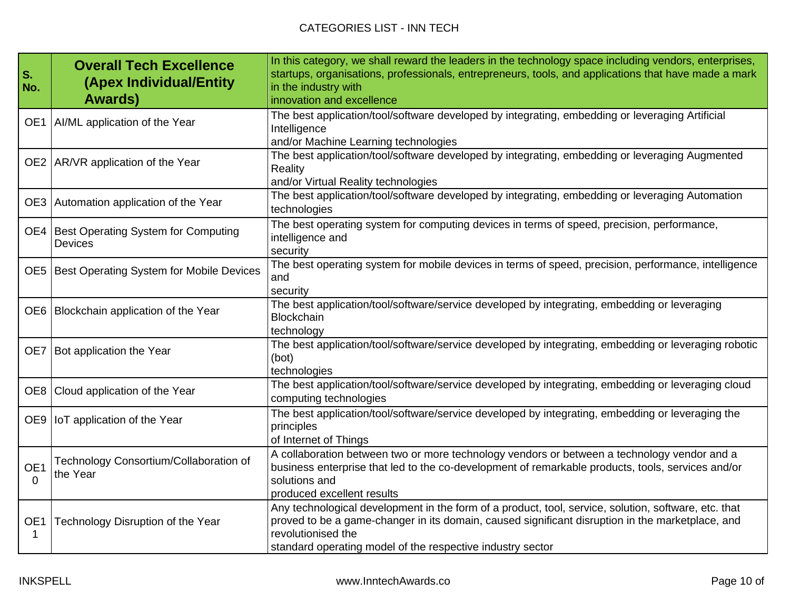| S.<br>No.            | <b>Overall Tech Excellence</b><br>(Apex Individual/Entity<br><b>Awards</b> ) | In this category, we shall reward the leaders in the technology space including vendors, enterprises,<br>startups, organisations, professionals, entrepreneurs, tools, and applications that have made a mark<br>in the industry with<br>innovation and excellence                           |
|----------------------|------------------------------------------------------------------------------|----------------------------------------------------------------------------------------------------------------------------------------------------------------------------------------------------------------------------------------------------------------------------------------------|
|                      | OE1   AI/ML application of the Year                                          | The best application/tool/software developed by integrating, embedding or leveraging Artificial<br>Intelligence<br>and/or Machine Learning technologies                                                                                                                                      |
|                      | OE2 AR/VR application of the Year                                            | The best application/tool/software developed by integrating, embedding or leveraging Augmented<br>Reality<br>and/or Virtual Reality technologies                                                                                                                                             |
|                      | OE3 Automation application of the Year                                       | The best application/tool/software developed by integrating, embedding or leveraging Automation<br>technologies                                                                                                                                                                              |
|                      | OE4   Best Operating System for Computing<br><b>Devices</b>                  | The best operating system for computing devices in terms of speed, precision, performance,<br>intelligence and<br>security                                                                                                                                                                   |
|                      | OE5   Best Operating System for Mobile Devices                               | The best operating system for mobile devices in terms of speed, precision, performance, intelligence<br>and<br>security                                                                                                                                                                      |
|                      | OE6   Blockchain application of the Year                                     | The best application/tool/software/service developed by integrating, embedding or leveraging<br><b>Blockchain</b><br>technology                                                                                                                                                              |
|                      | OE7   Bot application the Year                                               | The best application/tool/software/service developed by integrating, embedding or leveraging robotic<br>(bot)<br>technologies                                                                                                                                                                |
|                      | OE8 Cloud application of the Year                                            | The best application/tool/software/service developed by integrating, embedding or leveraging cloud<br>computing technologies                                                                                                                                                                 |
|                      | OE9   IoT application of the Year                                            | The best application/tool/software/service developed by integrating, embedding or leveraging the<br>principles<br>of Internet of Things                                                                                                                                                      |
| OE1<br>0             | Technology Consortium/Collaboration of<br>the Year                           | A collaboration between two or more technology vendors or between a technology vendor and a<br>business enterprise that led to the co-development of remarkable products, tools, services and/or<br>solutions and<br>produced excellent results                                              |
| OE <sub>1</sub><br>1 | Technology Disruption of the Year                                            | Any technological development in the form of a product, tool, service, solution, software, etc. that<br>proved to be a game-changer in its domain, caused significant disruption in the marketplace, and<br>revolutionised the<br>standard operating model of the respective industry sector |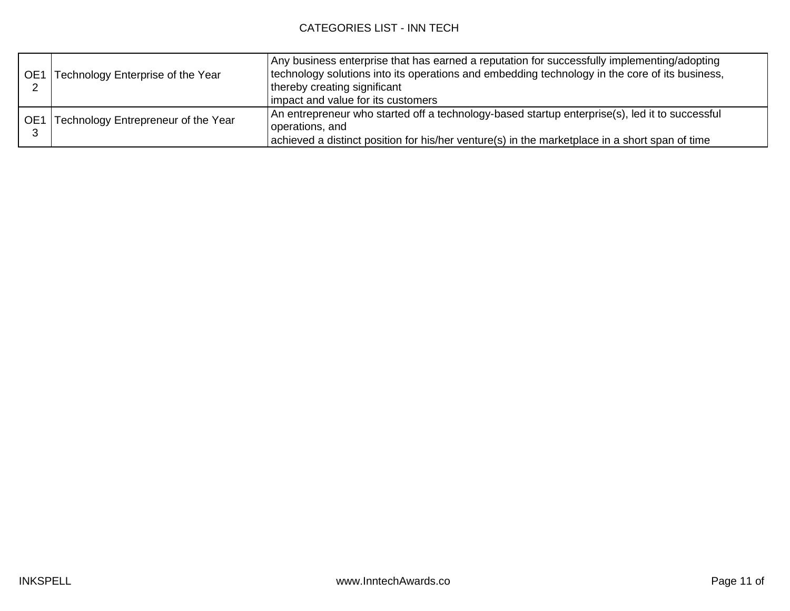|     | OE1 Technology Enterprise of the Year | Any business enterprise that has earned a reputation for successfully implementing/adopting<br>technology solutions into its operations and embedding technology in the core of its business,<br>thereby creating significant<br>impact and value for its customers |
|-----|---------------------------------------|---------------------------------------------------------------------------------------------------------------------------------------------------------------------------------------------------------------------------------------------------------------------|
| OE1 | Technology Entrepreneur of the Year   | An entrepreneur who started off a technology-based startup enterprise(s), led it to successful<br>operations, and<br>achieved a distinct position for his/her venture(s) in the marketplace in a short span of time                                                 |